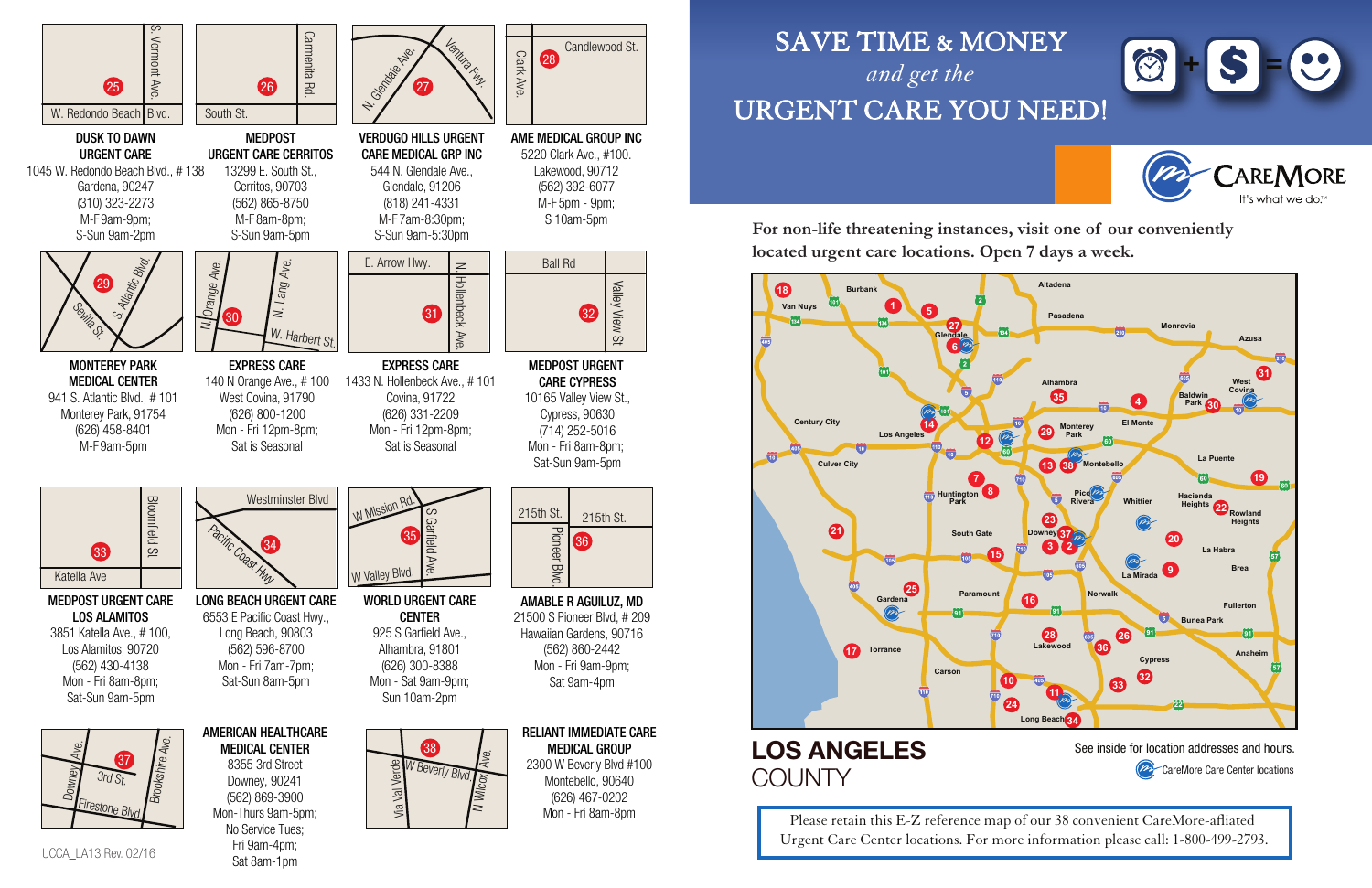544 N. Glendale Ave., Glendale, 91206 (818) 241-4331 M-F7am-8:30pm; S-Sun 9am-5:30pm E. Arrow Hwy.  $\geq$ 

UCCA\_LA13 Rev. 02/16

Ventura Fwy.

N. Geologie Ave.

DUSK TO DAWN URGENT CARE 1045 W. Redondo Beach Blvd., # 138 Gardena, 90247 (310) 323-2273 M-F9am-9pm; S-Sun 9am-2pm

S. Atlantic Blvd.

Seville St.

VERDUGO HILLS URGENT CARE MEDICAL GRP INC

# Valley View St Valley View St



**Bloomfield St** Bloomfield St 33 Katella Ave

#### AME MEDICAL GROUP INC 5220 Clark Ave., #100. Lakewood, 90712 (562) 392-6077 M-F5pm - 9pm;

13299 E. South St., Cerritos, 90703 (562) 865-8750 M-F8am-8pm; S-Sun 9am-5pm

MONTEREY PARK MEDICAL CENTER 941 S. Atlantic Blvd., # 101 Monterey Park, 91754 (626) 458-8401 M-F9am-5pm

> WORLD URGENT CARE CENTER 925 S Garfield Ave., Alhambra, 91801 (626) 300-8388 Mon - Sat 9am-9pm; Sun 10am-2pm



MEDPOST URGENT CARE CERRITOS





EXPRESS CARE 140 N Orange Ave., # 100 West Covina, 91790 (626) 800-1200 Mon - Fri 12pm-8pm; Sat is Seasonal

### LOS ANGELES **COUNTY**

1433 N. Hollenbeck Ave., # 101 Covina, 91722 (626) 331-2209 Mon - Fri 12pm-8pm; Sat is Seasonal







Please retain this E-Z reference map of our 38 convenient CareMore-afliated Urgent Care Center locations. For more information please call: 1-800-499-2793.

28

29

Clark Ave.

Candlewood St.

MEDPOST URGENT CARE LOS ALAMITOS 3851 Katella Ave., # 100, Los Alamitos, 90720 (562) 430-4138 Mon - Fri 8am-8pm; Sat-Sun 9am-5pm

LONG BEACH URGENT CARE 6553 E Pacific Coast Hwy., Long Beach, 90803 (562) 596-8700 Mon - Fri 7am-7pm; Sat-Sun 8am-5pm



35

AMABLE R AGUILUZ, MD 21500 S Pioneer Blvd, # 209 Hawaiian Gardens, 90716 (562) 860-2442 Mon - Fri 9am-9pm; Sat 9am-4pm

AMERICAN HEALTHCARE MEDICAL CENTER 8355 3rd Street Downey, 90241 (562) 869-3900 No Service Tues; Fri 9am-4pm;

Sat 8am-1pm

W Valley Blvd.









MEDPOST URGENT CARE CYPRESS 10165 Valley View St., Cypress, 90630 (714) 252-5016 Mon - Fri 8am-8pm; Sat-Sun 9am-5pm

S Garfield Ave.

W Mission Rd.



# SAVE TIME & MONEY *and get the*  URGENT CARE YOU NEED!

**For non-life threatening instances, visit one of our conveniently located urgent care locations. Open 7 days a week.**

See inside for location addresses and hours.

**PRECATE MOTE Care Center locations**